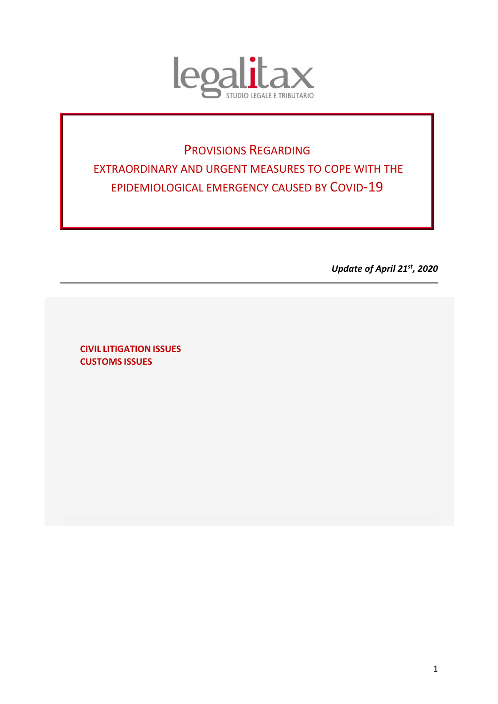

# PROVISIONS REGARDING EXTRAORDINARY AND URGENT MEASURES TO COPE WITH THE EPIDEMIOLOGICAL EMERGENCY CAUSED BY COVID-19

*Update of April 21st, 2020* 

**CIVIL LITIGATION ISSUES CUSTOMS ISSUES**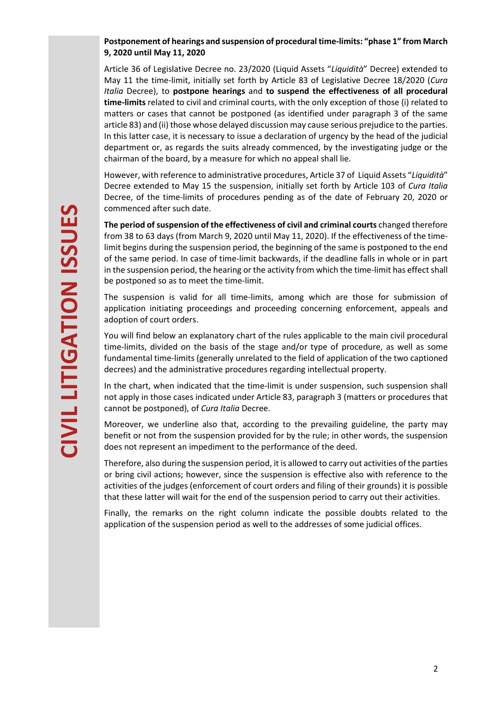## **Postponement of hearings and suspension of procedural time-limits: "phase 1" from March 9, 2020 until May 11, 2020**

Article 36 of Legislative Decree no. 23/2020 (Liquid Assets "*Liquidità*" Decree) extended to May 11 the time-limit, initially set forth by Article 83 of Legislative Decree 18/2020 (*Cura Italia* Decree), to **postpone hearings** and **to suspend the effectiveness of all procedural time-limits** related to civil and criminal courts, with the only exception of those (i) related to matters or cases that cannot be postponed (as identified under paragraph 3 of the same article 83) and (ii) those whose delayed discussion may cause serious prejudice to the parties. In this latter case, it is necessary to issue a declaration of urgency by the head of the judicial department or, as regards the suits already commenced, by the investigating judge or the chairman of the board, by a measure for which no appeal shall lie.

However, with reference to administrative procedures, Article 37 of Liquid Assets "*Liquidità*" Decree extended to May 15 the suspension, initially set forth by Article 103 of *Cura Italia* Decree, of the time-limits of procedures pending as of the date of February 20, 2020 or commenced after such date.

**The period of suspension of the effectiveness of civil and criminal courts** changed therefore from 38 to 63 days (from March 9, 2020 until May 11, 2020). If the effectiveness of the timelimit begins during the suspension period, the beginning of the same is postponed to the end of the same period. In case of time-limit backwards, if the deadline falls in whole or in part in the suspension period, the hearing or the activity from which the time-limit has effect shall be postponed so as to meet the time-limit.

The suspension is valid for all time-limits, among which are those for submission of application initiating proceedings and proceeding concerning enforcement, appeals and adoption of court orders.

You will find below an explanatory chart of the rules applicable to the main civil procedural time-limits, divided on the basis of the stage and/or type of procedure, as well as some fundamental time-limits (generally unrelated to the field of application of the two captioned decrees) and the administrative procedures regarding intellectual property.

In the chart, when indicated that the time-limit is under suspension, such suspension shall not apply in those cases indicated under Article 83, paragraph 3 (matters or procedures that cannot be postponed), of *Cura Italia* Decree.

Moreover, we underline also that, according to the prevailing guideline, the party may benefit or not from the suspension provided for by the rule; in other words, the suspension does not represent an impediment to the performance of the deed.

Therefore, also during the suspension period, it is allowed to carry out activities of the parties or bring civil actions; however, since the suspension is effective also with reference to the activities of the judges (enforcement of court orders and filing of their grounds) it is possible that these latter will wait for the end of the suspension period to carry out their activities.

Finally, the remarks on the right column indicate the possible doubts related to the application of the suspension period as well to the addresses of some judicial offices.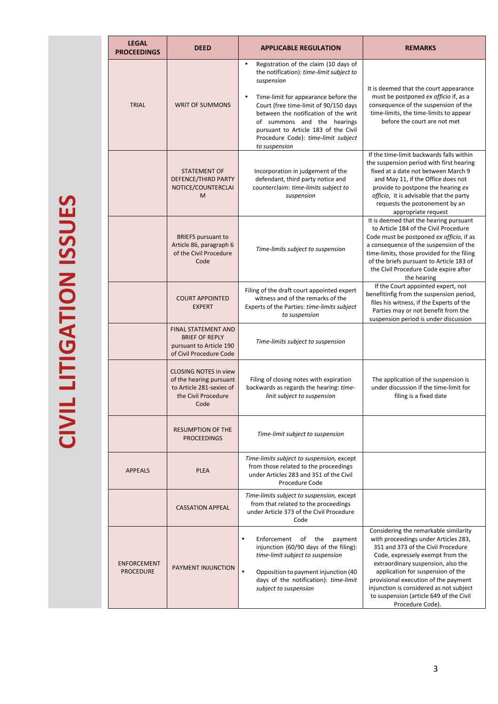| <b>LEGAL</b><br><b>PROCEEDINGS</b>     | <b>DEED</b>                                                                                                                                                    | <b>APPLICABLE REGULATION</b>                                                                                                                                                                                                                                                                                                                                                                                                                                                                                                                                                           | <b>REMARKS</b>                                                                                                                                                                                                                                                                                                                                                                       |  |
|----------------------------------------|----------------------------------------------------------------------------------------------------------------------------------------------------------------|----------------------------------------------------------------------------------------------------------------------------------------------------------------------------------------------------------------------------------------------------------------------------------------------------------------------------------------------------------------------------------------------------------------------------------------------------------------------------------------------------------------------------------------------------------------------------------------|--------------------------------------------------------------------------------------------------------------------------------------------------------------------------------------------------------------------------------------------------------------------------------------------------------------------------------------------------------------------------------------|--|
| <b>TRIAL</b>                           | <b>WRIT OF SUMMONS</b>                                                                                                                                         | Registration of the claim (10 days of<br>$\bullet$<br>the notification): time-limit subject to<br>suspension<br>It is deemed that the court appearance<br>must be postponed ex officio if, as a<br>Time-limit for appearance before the<br>$\bullet$<br>consequence of the suspension of the<br>Court (free time-limit of 90/150 days<br>between the notification of the writ<br>time-limits, the time-limits to appear<br>before the court are not met<br>of summons and the hearings<br>pursuant to Article 183 of the Civil<br>Procedure Code): time-limit subject<br>to suspension |                                                                                                                                                                                                                                                                                                                                                                                      |  |
|                                        | <b>STATEMENT OF</b><br>DEFENCE/THIRD PARTY<br>NOTICE/COUNTERCLAI<br>M                                                                                          | Incorporation in judgement of the<br>defendant, third party notice and<br>counterclaim: time-limits subject to<br>suspension                                                                                                                                                                                                                                                                                                                                                                                                                                                           | If the time-limit backwards falls within<br>the suspension period with first hearing<br>fixed at a date not between March 9<br>and May 11, if the Office does not<br>provide to postpone the hearing ex<br>officio, it is advisable that the party<br>requests the postonement by an<br>appropriate request                                                                          |  |
|                                        | <b>BRIEFS</b> pursuant to<br>Article 86, paragraph 6<br>of the Civil Procedure<br>Code                                                                         | Time-limits subject to suspension                                                                                                                                                                                                                                                                                                                                                                                                                                                                                                                                                      | It is deemed that the hearing pursuant<br>to Article 184 of the Civil Procedure<br>Code must be postponed ex officio, if as<br>a consequence of the suspension of the<br>time-limits, those provided for the filing<br>of the briefs pursuant to Article 183 of<br>the Civil Procedure Code expire after<br>the hearing                                                              |  |
|                                        | <b>COURT APPOINTED</b><br><b>EXPERT</b>                                                                                                                        | Filing of the draft court appointed expert<br>witness and of the remarks of the<br>Experts of the Parties: time-limits subject<br>to suspension                                                                                                                                                                                                                                                                                                                                                                                                                                        | If the Court appointed expert, not<br>benefitinfig from the suspension period,<br>files his witness, if the Experts of the<br>Parties may or not benefit from the<br>suspension period is under discussion                                                                                                                                                                           |  |
|                                        | <b>FINAL STATEMENT AND</b><br><b>BRIEF OF REPLY</b><br>pursuant to Article 190<br>of Civil Procedure Code                                                      | Time-limits subject to suspension                                                                                                                                                                                                                                                                                                                                                                                                                                                                                                                                                      |                                                                                                                                                                                                                                                                                                                                                                                      |  |
|                                        | <b>CLOSING NOTES in view</b><br>of the hearing pursuant<br>to Article 281-sexies of<br>the Civil Procedure<br>Code                                             | Filing of closing notes with expiration<br>backwards as regards the hearing: time-<br>linit subject to suspension                                                                                                                                                                                                                                                                                                                                                                                                                                                                      | The application of the suspension is<br>under discussion if the time-limit for<br>filing is a fixed date                                                                                                                                                                                                                                                                             |  |
|                                        | <b>RESUMPTION OF THE</b><br><b>PROCEEDINGS</b>                                                                                                                 | Time-limit subject to suspension                                                                                                                                                                                                                                                                                                                                                                                                                                                                                                                                                       |                                                                                                                                                                                                                                                                                                                                                                                      |  |
| <b>APPEALS</b>                         | Time-limits subject to suspension, except<br>from those related to the proceedings<br><b>PLEA</b><br>under Articles 283 and 351 of the Civil<br>Procedure Code |                                                                                                                                                                                                                                                                                                                                                                                                                                                                                                                                                                                        |                                                                                                                                                                                                                                                                                                                                                                                      |  |
|                                        | <b>CASSATION APPEAL</b>                                                                                                                                        | Time-limits subject to suspension, except<br>from that related to the proceedings<br>under Article 373 of the Civil Procedure<br>Code                                                                                                                                                                                                                                                                                                                                                                                                                                                  |                                                                                                                                                                                                                                                                                                                                                                                      |  |
| <b>ENFORCEMENT</b><br><b>PROCEDURE</b> | PAYMENT INJUNCTION                                                                                                                                             | Enforcement<br>of<br>the<br>payment<br>$\bullet$<br>injunction (60/90 days of the filing):<br>time-limit subject to suspension<br>Opposition to payment injunction (40<br>days of the notification): time-limit<br>subject to suspension                                                                                                                                                                                                                                                                                                                                               | Considering the remarkable similarity<br>with proceedings under Articles 283,<br>351 and 373 of the Civil Procedure<br>Code, expressely exempt from the<br>extraordinary suspension, also the<br>application for suspension of the<br>provisional execution of the payment<br>injunction is considered as not subject<br>to suspension (article 649 of the Civil<br>Procedure Code). |  |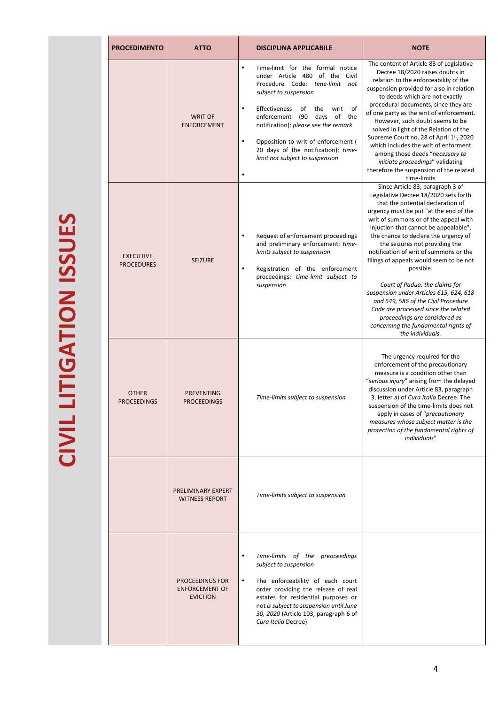| ים<br>-       |
|---------------|
| $\frac{1}{2}$ |
| ה<br>ה        |
|               |
| Id<br>C<br>F  |
|               |
|               |
| イくしトラ         |
|               |
|               |
|               |
| -<br>-<br>-   |

| <b>PROCEDIMENTO</b>                   | <b>ATTO</b>                                                        | <b>DISCIPLINA APPLICABILE</b>                                                                                                                                                                                                                                                                                                                                                                                           | <b>NOTE</b>                                                                                                                                                                                                                                                                                                                                                                                                                                                                                                                                                                                                                                                                     |  |
|---------------------------------------|--------------------------------------------------------------------|-------------------------------------------------------------------------------------------------------------------------------------------------------------------------------------------------------------------------------------------------------------------------------------------------------------------------------------------------------------------------------------------------------------------------|---------------------------------------------------------------------------------------------------------------------------------------------------------------------------------------------------------------------------------------------------------------------------------------------------------------------------------------------------------------------------------------------------------------------------------------------------------------------------------------------------------------------------------------------------------------------------------------------------------------------------------------------------------------------------------|--|
|                                       | <b>WRIT OF</b><br><b>ENFORCEMENT</b>                               | Time-limit for the formal notice<br>$\bullet$<br>under Article 480 of the Civil<br>Procedure Code: time-limit not<br>subject to suspension<br><b>Effectiveness</b><br>of<br>of<br>the<br>writ<br>٠<br>(90 days of the<br>enforcement<br>notification): please see the remark<br>Opposition to writ of enforcement (<br>$\bullet$<br>20 days of the notification): time-<br>limit not subject to suspension<br>$\bullet$ | The content of Article 83 of Legislative<br>Decree 18/2020 raises doubts in<br>relation to the enforceability of the<br>suspension provided for also in relation<br>to deeds which are not exactly<br>procedural documents, since they are<br>of one party as the writ of enforcement.<br>However, such doubt seems to be<br>solved in light of the Relation of the<br>Supreme Court no. 28 of April 1st, 2020<br>which includes the writ of enforment<br>among those deeds "necessary to<br>initiate proceedings" validating<br>therefore the suspension of the related<br>time-limits                                                                                         |  |
| <b>EXECUTIVE</b><br><b>PROCEDURES</b> | <b>SEIZURE</b>                                                     | Request of enforcement proceedings<br>$\bullet$<br>and preliminary enforcement: time-<br>limits subject to suspension<br>Registration of the enforcement<br>٠<br>proceedings: time-limit subject to<br>suspension                                                                                                                                                                                                       | Since Article 83, paragraph 3 of<br>Legislative Decree 18/2020 sets forth<br>that the potential declaration of<br>urgency must be put "at the end of the<br>writ of summons or of the appeal with<br>injuction that cannot be appealable",<br>the chance to declare the urgency of<br>the seizures not providing the<br>notification of writ of summons or the<br>filings of appeals would seem to be not<br>possible.<br>Court of Padua: the claims for<br>suspension under Articles 615, 624, 618<br>and 649, 586 of the Civil Procedure<br>Code are processed since the related<br>proceedings are considered as<br>concerning the fundamental rights of<br>the individuals. |  |
| <b>OTHER</b><br><b>PROCEEDINGS</b>    | <b>PREVENTING</b><br><b>PROCEEDINGS</b>                            | Time-limits subject to suspension                                                                                                                                                                                                                                                                                                                                                                                       | The urgency required for the<br>enforcement of the precautionary<br>measure is a condition other than<br>"serious injury" arising from the delayed<br>discussion under Article 83, paragraph<br>3, letter a) of Cura Italia Decree. The<br>suspension of the time-limits does not<br>apply in cases of "precautionary<br>measures whose subject matter is the<br>protection of the fundamental rights of<br>individuals"                                                                                                                                                                                                                                                        |  |
|                                       | PRELIMINARY EXPERT<br><b>WITNESS REPORT</b>                        | Time-limits subject to suspension                                                                                                                                                                                                                                                                                                                                                                                       |                                                                                                                                                                                                                                                                                                                                                                                                                                                                                                                                                                                                                                                                                 |  |
|                                       | <b>PROCEEDINGS FOR</b><br><b>ENFORCEMENT OF</b><br><b>EVICTION</b> | Time-limits of the preoceedings<br>$\bullet$<br>subject to suspension<br>The enforceability of each court<br>$\bullet$<br>order providing the release of real<br>estates for residential purposes or<br>not is subject to suspension until June<br>30, 2020 (Article 103, paragraph 6 of<br>Cura Italia Decree)                                                                                                         |                                                                                                                                                                                                                                                                                                                                                                                                                                                                                                                                                                                                                                                                                 |  |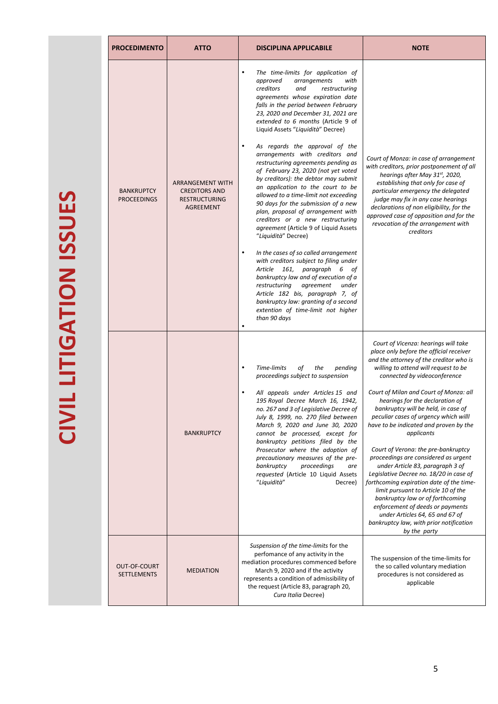| <b>PROCEDIMENTO</b>                     | <b>ATTO</b>                                                                          | <b>DISCIPLINA APPLICABILE</b>                                                                                                                                                                                                                                                                                                                                                                                                                                                                                                                                                                                                                                                                                                                                                                                                                                                                                                                                                                                                                                                                                                                      | <b>NOTE</b>                                                                                                                                                                                                                                                                                                                                                                                                                                                                                                                                                                                                                                                                                                                                                                                                                                    |  |
|-----------------------------------------|--------------------------------------------------------------------------------------|----------------------------------------------------------------------------------------------------------------------------------------------------------------------------------------------------------------------------------------------------------------------------------------------------------------------------------------------------------------------------------------------------------------------------------------------------------------------------------------------------------------------------------------------------------------------------------------------------------------------------------------------------------------------------------------------------------------------------------------------------------------------------------------------------------------------------------------------------------------------------------------------------------------------------------------------------------------------------------------------------------------------------------------------------------------------------------------------------------------------------------------------------|------------------------------------------------------------------------------------------------------------------------------------------------------------------------------------------------------------------------------------------------------------------------------------------------------------------------------------------------------------------------------------------------------------------------------------------------------------------------------------------------------------------------------------------------------------------------------------------------------------------------------------------------------------------------------------------------------------------------------------------------------------------------------------------------------------------------------------------------|--|
| <b>BANKRUPTCY</b><br><b>PROCEEDINGS</b> | ARRANGEMENT WITH<br><b>CREDITORS AND</b><br><b>RESTRUCTURING</b><br><b>AGREEMENT</b> | The time-limits for application of<br>$\bullet$<br>arrangements<br>approved<br>with<br>creditors<br>and<br>restructuring<br>agreements whose expiration date<br>falls in the period between February<br>23, 2020 and December 31, 2021 are<br>extended to 6 months (Article 9 of<br>Liquid Assets "Liquidità" Decree)<br>As regards the approval of the<br>arrangements with creditors and<br>restructuring agreements pending as<br>of February 23, 2020 (not yet voted<br>by creditors): the debtor may submit<br>an application to the court to be<br>allowed to a time-limit not exceeding<br>90 days for the submission of a new<br>plan, proposal of arrangement with<br>creditors or a new restructuring<br>agreement (Article 9 of Liquid Assets<br>"Liquidità" Decree)<br>In the cases of so called arrangement<br>$\bullet$<br>with creditors subject to filing under<br>161, paragraph<br>Article<br>6 of<br>bankruptcy law and of execution of a<br>restructuring<br>agreement<br>under<br>Article 182 bis, paragraph 7, of<br>bankruptcy law: granting of a second<br>extention of time-limit not higher<br>than 90 days<br>$\bullet$ | Court of Monza: in case of arrangement<br>with creditors, prior postponement of all<br>hearings after May 31st, 2020,<br>establishing that only for case of<br>particular emergency the delegated<br>judge may fix in any case hearings<br>declarations of non eligibility, for the<br>approved case of opposition and for the<br>revocation of the arrangement with<br>creditors                                                                                                                                                                                                                                                                                                                                                                                                                                                              |  |
|                                         | <b>BANKRUPTCY</b>                                                                    | Time-limits<br>оf<br>the<br>pending<br>$\bullet$<br>proceedings subject to suspension<br>All appeals under Articles 15 and<br>195 Royal Decree March 16, 1942,<br>no. 267 and 3 of Legislative Decree of<br>July 8, 1999, no. 270 filed between<br>March 9, 2020 and June 30, 2020<br>cannot be processed, except for<br>bankruptcy petitions filed by the<br>Prosecutor where the adoption of<br>precautionary measures of the pre-<br>bankruptcy<br>proceedings<br>are<br>requested (Article 10 Liquid Assets<br>"Liquidità"<br>Decree)                                                                                                                                                                                                                                                                                                                                                                                                                                                                                                                                                                                                          | Court of Vicenza: hearings will take<br>place only before the official receiver<br>and the attorney of the creditor who is<br>willing to attend will request to be<br>connected by videoconference<br>Court of Milan and Court of Monza: all<br>hearings for the declaration of<br>bankruptcy will be held, in case of<br>peculiar cases of urgency which willl<br>have to be indicated and proven by the<br>applicants<br>Court of Verona: the pre-bankruptcy<br>proceedings are considered as urgent<br>under Article 83, paragraph 3 of<br>Legislative Decree no. 18/20 in case of<br>forthcoming expiration date of the time-<br>limit pursuant to Article 10 of the<br>bankruptcy law or of forthcoming<br>enforcement of deeds or payments<br>under Articles 64, 65 and 67 of<br>bankruptcy law, with prior notification<br>by the party |  |
| OUT-OF-COURT<br><b>SETTLEMENTS</b>      | <b>MEDIATION</b>                                                                     | Suspension of the time-limits for the<br>perfomance of any activity in the<br>mediation procedures commenced before<br>March 9, 2020 and if the activity<br>represents a condition of admissibility of<br>the request (Article 83, paragraph 20,<br>Cura Italia Decree)                                                                                                                                                                                                                                                                                                                                                                                                                                                                                                                                                                                                                                                                                                                                                                                                                                                                            | The suspension of the time-limits for<br>the so called voluntary mediation<br>procedures is not considered as<br>applicable                                                                                                                                                                                                                                                                                                                                                                                                                                                                                                                                                                                                                                                                                                                    |  |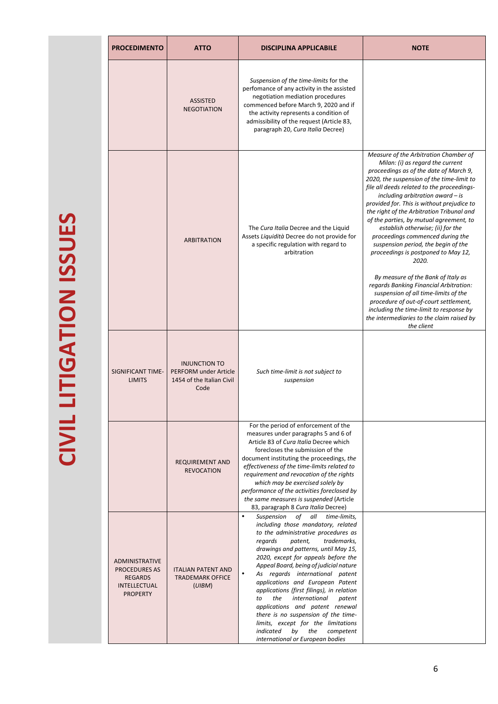| <b>PROCEDIMENTO</b><br><b>ATTO</b> |                                                                                                                                        |                                                                | <b>DISCIPLINA APPLICABILE</b>                                                                                                                                                                                                                                                                                                                                                                                                                                                                                                                                                                                                                                       | <b>NOTE</b>                                                                                                                                                                                                                                                                                                                                                                                                                                                                                                                                                                                                                                                                                                                                                                                                                       |  |
|------------------------------------|----------------------------------------------------------------------------------------------------------------------------------------|----------------------------------------------------------------|---------------------------------------------------------------------------------------------------------------------------------------------------------------------------------------------------------------------------------------------------------------------------------------------------------------------------------------------------------------------------------------------------------------------------------------------------------------------------------------------------------------------------------------------------------------------------------------------------------------------------------------------------------------------|-----------------------------------------------------------------------------------------------------------------------------------------------------------------------------------------------------------------------------------------------------------------------------------------------------------------------------------------------------------------------------------------------------------------------------------------------------------------------------------------------------------------------------------------------------------------------------------------------------------------------------------------------------------------------------------------------------------------------------------------------------------------------------------------------------------------------------------|--|
|                                    |                                                                                                                                        | <b>ASSISTED</b><br><b>NEGOTIATION</b>                          | Suspension of the time-limits for the<br>perfomance of any activity in the assisted<br>negotiation mediation procedures<br>commenced before March 9, 2020 and if<br>the activity represents a condition of<br>admissibility of the request (Article 83,<br>paragraph 20, Cura Italia Decree)                                                                                                                                                                                                                                                                                                                                                                        |                                                                                                                                                                                                                                                                                                                                                                                                                                                                                                                                                                                                                                                                                                                                                                                                                                   |  |
|                                    |                                                                                                                                        | <b>ARBITRATION</b>                                             | The Cura Italia Decree and the Liquid<br>Assets Liquidità Decree do not provide for<br>a specific regulation with regard to<br>arbitration                                                                                                                                                                                                                                                                                                                                                                                                                                                                                                                          | Measure of the Arbitration Chamber of<br>Milan: (i) as regard the current<br>proceedings as of the date of March 9,<br>2020, the suspension of the time-limit to<br>file all deeds related to the proceedings-<br>including arbitration award $-$ is<br>provided for. This is without prejudice to<br>the right of the Arbitration Tribunal and<br>of the parties, by mutual agreement, to<br>establish otherwise; (ii) for the<br>proceedings commenced during the<br>suspension period, the begin of the<br>proceedings is postponed to May 12,<br>2020.<br>By measure of the Bank of Italy as<br>regards Banking Financial Arbitration:<br>suspension of all time-limits of the<br>procedure of out-of-court settlement,<br>including the time-limit to response by<br>the intermediaries to the claim raised by<br>the client |  |
|                                    | <b>INJUNCTION TO</b><br><b>SIGNIFICANT TIME-</b><br><b>PERFORM under Article</b><br><b>LIMITS</b><br>1454 of the Italian Civil<br>Code |                                                                | Such time-limit is not subject to<br>suspension                                                                                                                                                                                                                                                                                                                                                                                                                                                                                                                                                                                                                     |                                                                                                                                                                                                                                                                                                                                                                                                                                                                                                                                                                                                                                                                                                                                                                                                                                   |  |
|                                    |                                                                                                                                        | <b>REQUIREMENT AND</b><br><b>REVOCATION</b>                    | For the period of enforcement of the<br>measures under paragraphs 5 and 6 of<br>Article 83 of Cura Italia Decree which<br>forecloses the submission of the<br>document instituting the proceedings, the<br>effectiveness of the time-limits related to<br>requirement and revocation of the rights<br>which may be exercised solely by<br>performance of the activities foreclosed by<br>the same measures is suspended (Article<br>83, paragraph 8 Cura Italia Decree)                                                                                                                                                                                             |                                                                                                                                                                                                                                                                                                                                                                                                                                                                                                                                                                                                                                                                                                                                                                                                                                   |  |
|                                    | <b>ADMINISTRATIVE</b><br><b>PROCEDURES AS</b><br><b>REGARDS</b><br>INTELLECTUAL<br><b>PROPERTY</b>                                     | <b>ITALIAN PATENT AND</b><br><b>TRADEMARK OFFICE</b><br>(UIBM) | Suspension<br>$\bullet$<br>of<br>all<br>time-limits,<br>including those mandatory, related<br>to the administrative procedures as<br>trademarks.<br>regards<br>patent,<br>drawings and patterns, until May 15,<br>2020, except for appeals before the<br>Appeal Board, being of judicial nature<br>As regards international patent<br>$\bullet$<br>applications and European Patent<br>applications (first filings), in relation<br>the<br>international<br>patent<br>to<br>applications and patent renewal<br>there is no suspension of the time-<br>limits, except for the limitations<br>by<br>the<br>indicated<br>competent<br>international or European bodies |                                                                                                                                                                                                                                                                                                                                                                                                                                                                                                                                                                                                                                                                                                                                                                                                                                   |  |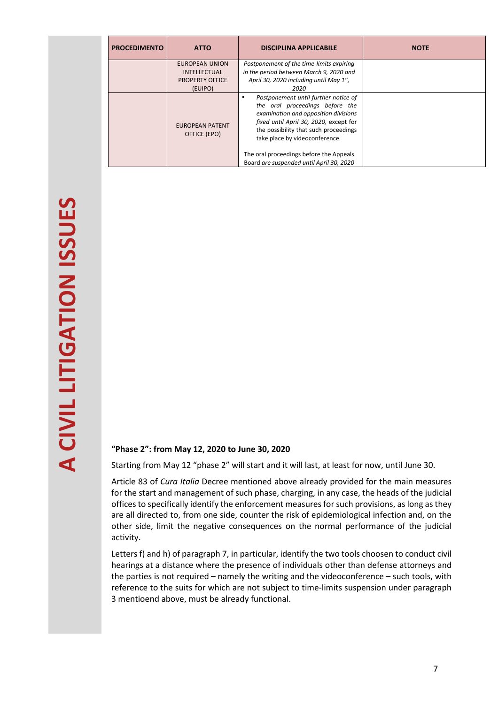| <b>PROCEDIMENTO</b> | <b>ATTO</b>                                                                | <b>DISCIPLINA APPLICABILE</b>                                                                                                                                                                                                                                                                                              | <b>NOTE</b> |
|---------------------|----------------------------------------------------------------------------|----------------------------------------------------------------------------------------------------------------------------------------------------------------------------------------------------------------------------------------------------------------------------------------------------------------------------|-------------|
|                     | EUROPEAN UNION<br><b>INTELLECTUAL</b><br><b>PROPERTY OFFICE</b><br>(EUIPO) | Postponement of the time-limits expiring<br>in the period between March 9, 2020 and<br>April 30, 2020 including until May $1^{st}$ ,<br>2020                                                                                                                                                                               |             |
|                     | <b>EUROPEAN PATENT</b><br>OFFICE (EPO)                                     | Postponement until further notice of<br>the oral proceedings before the<br>examination and opposition divisions<br>fixed until April 30, 2020, except for<br>the possibility that such proceedings<br>take place by videoconference<br>The oral proceedings before the Appeals<br>Board are suspended until April 30, 2020 |             |

#### **"Phase 2": from May 12, 2020 to June 30, 2020**

Starting from May 12 "phase 2" will start and it will last, at least for now, until June 30.

Article 83 of *Cura Italia* Decree mentioned above already provided for the main measures for the start and management of such phase, charging, in any case, the heads of the judicial offices to specifically identify the enforcement measures for such provisions, as long as they are all directed to, from one side, counter the risk of epidemiological infection and, on the other side, limit the negative consequences on the normal performance of the judicial activity.

Letters f) and h) of paragraph 7, in particular, identify the two tools choosen to conduct civil hearings at a distance where the presence of individuals other than defense attorneys and the parties is not required – namely the writing and the videoconference – such tools, with reference to the suits for which are not subject to time-limits suspension under paragraph 3 mentioend above, must be already functional.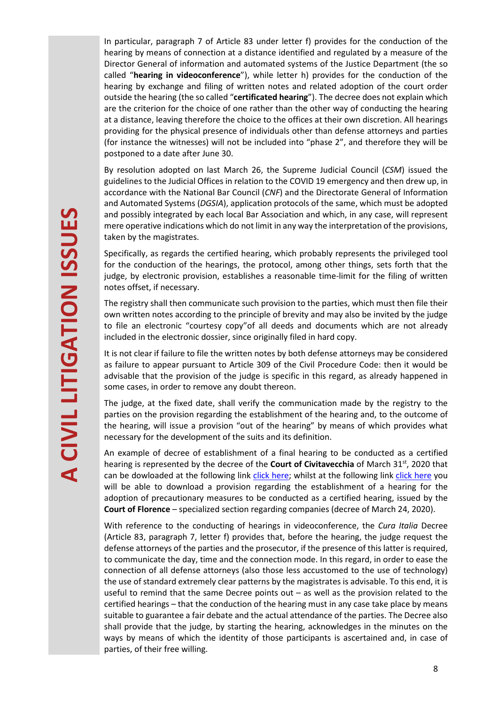In particular, paragraph 7 of Article 83 under letter f) provides for the conduction of the hearing by means of connection at a distance identified and regulated by a measure of the Director General of information and automated systems of the Justice Department (the so called "**hearing in videoconference**"), while letter h) provides for the conduction of the hearing by exchange and filing of written notes and related adoption of the court order outside the hearing (the so called "**certificated hearing**"). The decree does not explain which are the criterion for the choice of one rather than the other way of conducting the hearing at a distance, leaving therefore the choice to the offices at their own discretion. All hearings providing for the physical presence of individuals other than defense attorneys and parties (for instance the witnesses) will not be included into "phase 2", and therefore they will be postponed to a date after June 30.

By resolution adopted on last March 26, the Supreme Judicial Council (*CSM*) issued the guidelines to the Judicial Offices in relation to the COVID 19 emergency and then drew up, in accordance with the National Bar Council (*CNF*) and the Directorate General of Information and Automated Systems (*DGSIA*), application protocols of the same, which must be adopted and possibly integrated by each local Bar Association and which, in any case, will represent mere operative indications which do not limit in any way the interpretation of the provisions, taken by the magistrates.

Specifically, as regards the certified hearing, which probably represents the privileged tool for the conduction of the hearings, the protocol, among other things, sets forth that the judge, by electronic provision, establishes a reasonable time-limit for the filing of written notes offset, if necessary.

The registry shall then communicate such provision to the parties, which must then file their own written notes according to the principle of brevity and may also be invited by the judge to file an electronic "courtesy copy"of all deeds and documents which are not already included in the electronic dossier, since originally filed in hard copy.

It is not clear if failure to file the written notes by both defense attorneys may be considered as failure to appear pursuant to Article 309 of the Civil Procedure Code: then it would be advisable that the provision of the judge is specific in this regard, as already happened in some cases, in order to remove any doubt thereon.

The judge, at the fixed date, shall verify the communication made by the registry to the parties on the provision regarding the establishment of the hearing and, to the outcome of the hearing, will issue a provision "out of the hearing" by means of which provides what necessary for the development of the suits and its definition.

An example of decree of establishment of a final hearing to be conducted as a certified hearing is represented by the decree of the **Court of Civitavecchia** of March 31<sup>st</sup>, 2020 that can be dowloaded at the following link click here; whilst at the following link click here you will be able to download a provision regarding the establishment of a hearing for the adoption of precautionary measures to be conducted as a certified hearing, issued by the **Court of Florence** – specialized section regarding companies (decree of March 24, 2020).

With reference to the conducting of hearings in videoconference, the *Cura Italia* Decree (Article 83, paragraph 7, letter f) provides that, before the hearing, the judge request the defense attorneys of the parties and the prosecutor, if the presence of this latter is required, to communicate the day, time and the connection mode. In this regard, in order to ease the connection of all defense attorneys (also those less accustomed to the use of technology) the use of standard extremely clear patterns by the magistrates is advisable. To this end, it is useful to remind that the same Decree points out  $-$  as well as the provision related to the certified hearings – that the conduction of the hearing must in any case take place by means suitable to guarantee a fair debate and the actual attendance of the parties. The Decree also shall provide that the judge, by starting the hearing, acknowledges in the minutes on the ways by means of which the identity of those participants is ascertained and, in case of parties, of their free willing.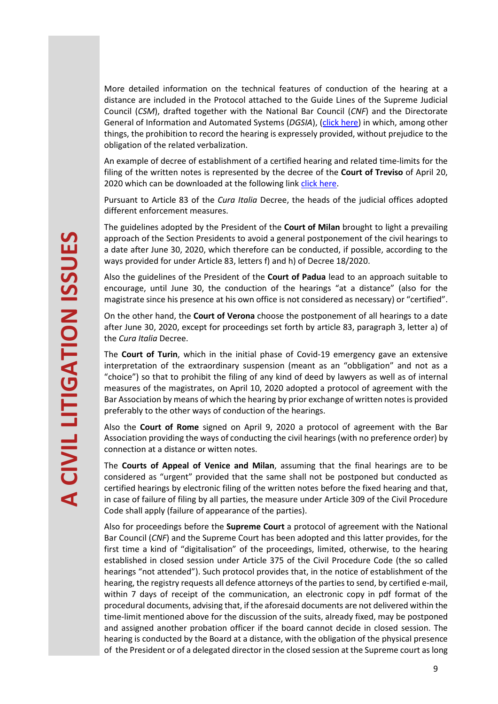More detailed information on the technical features of conduction of the hearing at a distance are included in the Protocol attached to the Guide Lines of the Supreme Judicial Council (*CSM*), drafted together with the National Bar Council (*CNF*) and the Directorate General of Information and Automated Systems (*DGSIA*), (click here) in which, among other things, the prohibition to record the hearing is expressely provided, without prejudice to the obligation of the related verbalization.

An example of decree of establishment of a certified hearing and related time-limits for the filing of the written notes is represented by the decree of the **Court of Treviso** of April 20, 2020 which can be downloaded at the following link click here.

Pursuant to Article 83 of the *Cura Italia* Decree, the heads of the judicial offices adopted different enforcement measures.

The guidelines adopted by the President of the **Court of Milan** brought to light a prevailing approach of the Section Presidents to avoid a general postponement of the civil hearings to a date after June 30, 2020, which therefore can be conducted, if possible, according to the ways provided for under Article 83, letters f) and h) of Decree 18/2020.

Also the guidelines of the President of the **Court of Padua** lead to an approach suitable to encourage, until June 30, the conduction of the hearings "at a distance" (also for the magistrate since his presence at his own office is not considered as necessary) or "certified".

On the other hand, the **Court of Verona** choose the postponement of all hearings to a date after June 30, 2020, except for proceedings set forth by article 83, paragraph 3, letter a) of the *Cura Italia* Decree.

The **Court of Turin**, which in the initial phase of Covid-19 emergency gave an extensive interpretation of the extraordinary suspension (meant as an "obbligation" and not as a "choice") so that to prohibit the filing of any kind of deed by lawyers as well as of internal measures of the magistrates, on April 10, 2020 adopted a protocol of agreement with the Bar Association by means of which the hearing by prior exchange of written notes is provided preferably to the other ways of conduction of the hearings.

Also the **Court of Rome** signed on April 9, 2020 a protocol of agreement with the Bar Association providing the ways of conducting the civil hearings (with no preference order) by connection at a distance or witten notes.

The **Courts of Appeal of Venice and Milan**, assuming that the final hearings are to be considered as "urgent" provided that the same shall not be postponed but conducted as certified hearings by electronic filing of the written notes before the fixed hearing and that, in case of failure of filing by all parties, the measure under Article 309 of the Civil Procedure Code shall apply (failure of appearance of the parties).

Also for proceedings before the **Supreme Court** a protocol of agreement with the National Bar Council (*CNF*) and the Supreme Court has been adopted and this latter provides, for the first time a kind of "digitalisation" of the proceedings, limited, otherwise, to the hearing established in closed session under Article 375 of the Civil Procedure Code (the so called hearings "not attended"). Such protocol provides that, in the notice of establishment of the hearing, the registry requests all defence attorneys of the parties to send, by certified e-mail, within 7 days of receipt of the communication, an electronic copy in pdf format of the procedural documents, advising that, if the aforesaid documents are not delivered within the time-limit mentioned above for the discussion of the suits, already fixed, may be postponed and assigned another probation officer if the board cannot decide in closed session. The hearing is conducted by the Board at a distance, with the obligation of the physical presence of the President or of a delegated director in the closed session at the Supreme court as long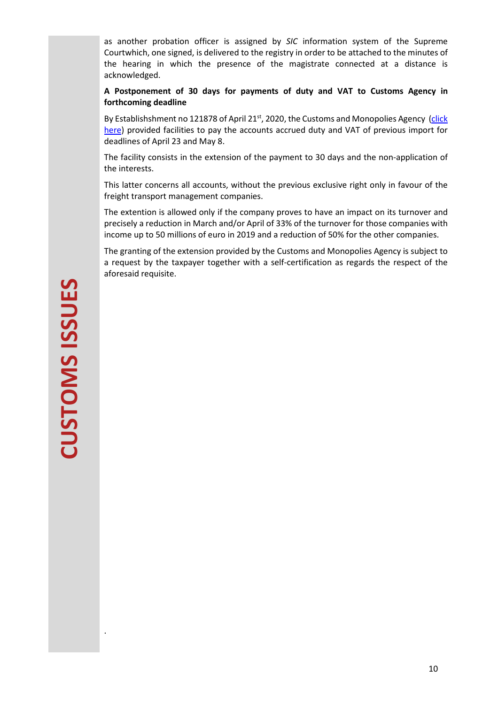as another probation officer is assigned by *SIC* information system of the Supreme Courtwhich, one signed, is delivered to the registry in order to be attached to the minutes of the hearing in which the presence of the magistrate connected at a distance is acknowledged.

**A Postponement of 30 days for payments of duty and VAT to Customs Agency in forthcoming deadline** 

By Establishshment no 121878 of April 21<sup>st</sup>, 2020, the Customs and Monopolies Agency (click here) provided facilities to pay the accounts accrued duty and VAT of previous import for deadlines of April 23 and May 8.

The facility consists in the extension of the payment to 30 days and the non-application of the interests.

This latter concerns all accounts, without the previous exclusive right only in favour of the freight transport management companies.

The extention is allowed only if the company proves to have an impact on its turnover and precisely a reduction in March and/or April of 33% of the turnover for those companies with income up to 50 millions of euro in 2019 and a reduction of 50% for the other companies.

The granting of the extension provided by the Customs and Monopolies Agency is subject to a request by the taxpayer together with a self-certification as regards the respect of the aforesaid requisite.

.